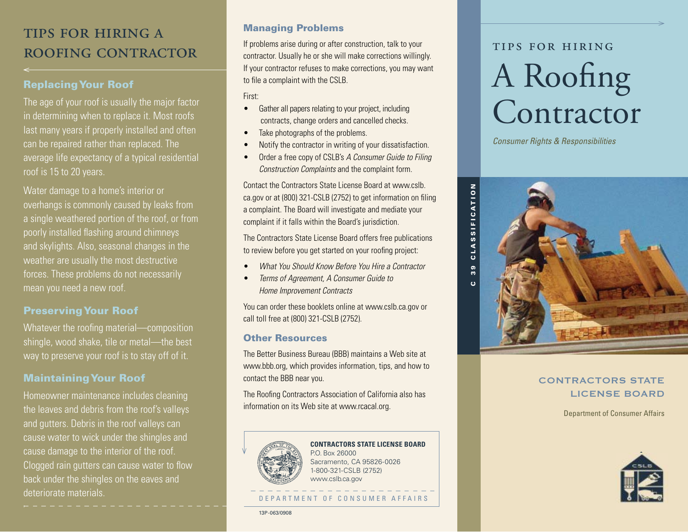# tips for hiring a ROOFING CONTRACTOR

# Replacing Your Roof

The age of your roof is usually the major factor in determining when to replace it. Most roofs last many years if properly installed and often can be repaired rather than replaced. The average life expectancy of a typical residential roof is 15 to 20 years.

Water damage to a home's interior or overhangs is commonly caused by leaks from a single weathered portion of the roof, or from poorly installed fashing around chimneys and skylights. Also, seasonal changes in the weather are usually the most destructive forces. These problems do not necessarily mean you need a new roof.

# Preserving Your Roof

Whatever the roofing material—composition shingle, wood shake, tile or metal—the best way to preserve your roof is to stay off of it.

# Maintaining Your Roof

Homeowner maintenance includes cleaning the leaves and debris from the roof's valleys and gutters. Debris in the roof valleys can cause water to wick under the shingles and cause damage to the interior of the roof. Clogged rain gutters can cause water to flow back under the shingles on the eaves and deteriorate materials.

## Managing Problems

If problems arise during or after construction, talk to your contractor. Usually he or she will make corrections willingly. If your contractor refuses to make corrections, you may want to file a complaint with the CSLB.

First:

- Gather all papers relating to your project, including contracts, change orders and cancelled checks.
- Take photographs of the problems.
- Notify the contractor in writing of your dissatisfaction.
- Order a free copy of CSLB's *A Consumer Guide to Filing Construction Complaints* and the complaint form.

Contact the Contractors State License Board at [www.cslb.](http://www.cslb. ca.gov)  [ca.gov](http://www.cslb. ca.gov) or at (800) 321-CSLB (2752) to get information on fling a complaint. The Board will investigate and mediate your complaint if it falls within the Board's jurisdiction.

The Contractors State License Board offers free publications to review before you get started on your roofng project:

- *What You Should Know Before You Hire a Contractor*
- *Terms of Agreement, A Consumer Guide to Home Improvement Contracts*

You can order these booklets online at [www.cslb.ca.gov](http://www.cslb.ca.gov) or call toll free at (800) 321-CSLB (2752).

### Other Resources

The Better Business Bureau (BBB) maintains a Web site at [www.bbb.org,](http://www.bbb.org) which provides information, tips, and how to contact the BBB near you.

The Roofng Contractors Association of California also has information on its Web site at [www.rcacal.org](http://www.rcacal.org)*.* 



# **CONTRACTORS STATE LICENSE BOARD**

P.O. Box 26000 Sacramento, CA 95826-0026 1-800-321-CSLB (2752) [www.cslb.ca.gov](http://www.cslb.ca.gov)

### DEPARTMENT OF CONSUMER AFFAIRS

13P-063/0908

# tips for hiring A Roofng Contractor

*Consumer Rights & Responsibilities* 



# CONTRACTORS STATE LICENSE BOARD

Department of Consumer Affairs